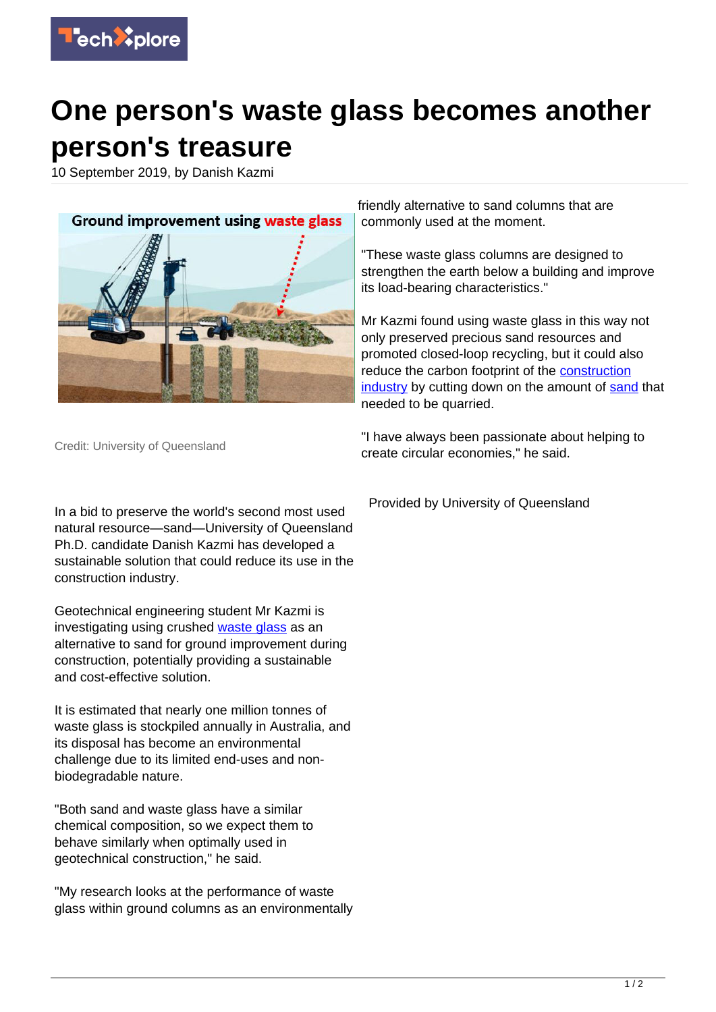

## **One person's waste glass becomes another person's treasure**

10 September 2019, by Danish Kazmi



friendly alternative to sand columns that are commonly used at the moment.

"These waste glass columns are designed to strengthen the earth below a building and improve its load-bearing characteristics."

Mr Kazmi found using waste glass in this way not only preserved precious sand resources and promoted closed-loop recycling, but it could also reduce the carbon footprint of the [construction](https://techxplore.com/tags/construction+industry/) [industry](https://techxplore.com/tags/construction+industry/) by cutting down on the amount of [sand](https://techxplore.com/tags/sand/) that needed to be quarried.

Credit: University of Queensland

"I have always been passionate about helping to create circular economies," he said.

In a bid to preserve the world's second most used natural resource—sand—University of Queensland Ph.D. candidate Danish Kazmi has developed a sustainable solution that could reduce its use in the construction industry.

Geotechnical engineering student Mr Kazmi is investigating using crushed [waste glass](https://techxplore.com/tags/waste+glass/) as an alternative to sand for ground improvement during construction, potentially providing a sustainable and cost-effective solution.

It is estimated that nearly one million tonnes of waste glass is stockpiled annually in Australia, and its disposal has become an environmental challenge due to its limited end-uses and nonbiodegradable nature.

"Both sand and waste glass have a similar chemical composition, so we expect them to behave similarly when optimally used in geotechnical construction," he said.

"My research looks at the performance of waste glass within ground columns as an environmentally Provided by University of Queensland